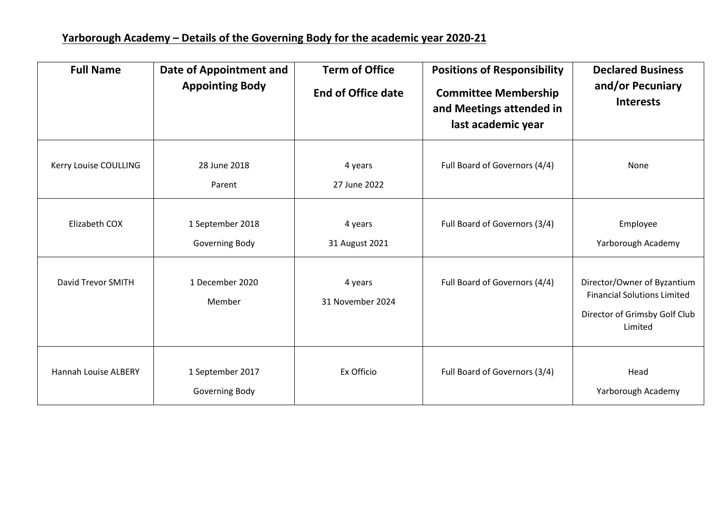| <b>Full Name</b>      | <b>Date of Appointment and</b><br><b>Appointing Body</b> | <b>Term of Office</b><br><b>End of Office date</b> | <b>Positions of Responsibility</b><br><b>Committee Membership</b><br>and Meetings attended in<br>last academic year | <b>Declared Business</b><br>and/or Pecuniary<br><b>Interests</b>                                              |
|-----------------------|----------------------------------------------------------|----------------------------------------------------|---------------------------------------------------------------------------------------------------------------------|---------------------------------------------------------------------------------------------------------------|
| Kerry Louise COULLING | 28 June 2018<br>Parent                                   | 4 years<br>27 June 2022                            | Full Board of Governors (4/4)                                                                                       | None                                                                                                          |
| Elizabeth COX         | 1 September 2018<br>Governing Body                       | 4 years<br>31 August 2021                          | Full Board of Governors (3/4)                                                                                       | Employee<br>Yarborough Academy                                                                                |
| David Trevor SMITH    | 1 December 2020<br>Member                                | 4 years<br>31 November 2024                        | Full Board of Governors (4/4)                                                                                       | Director/Owner of Byzantium<br><b>Financial Solutions Limited</b><br>Director of Grimsby Golf Club<br>Limited |
| Hannah Louise ALBERY  | 1 September 2017<br>Governing Body                       | Ex Officio                                         | Full Board of Governors (3/4)                                                                                       | Head<br>Yarborough Academy                                                                                    |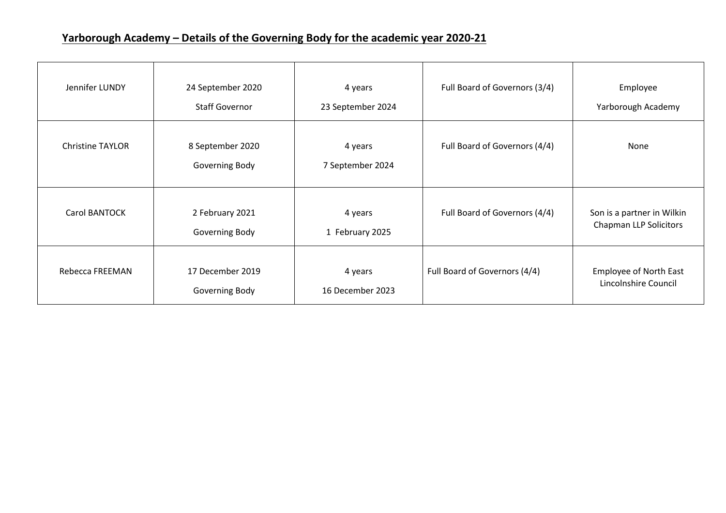## **Yarborough Academy – Details of the Governing Body for the academic year 2020-21**

| Jennifer LUNDY          | 24 September 2020<br><b>Staff Governor</b> | 4 years<br>23 September 2024 | Full Board of Governors (3/4) | Employee<br>Yarborough Academy                              |
|-------------------------|--------------------------------------------|------------------------------|-------------------------------|-------------------------------------------------------------|
| <b>Christine TAYLOR</b> | 8 September 2020<br>Governing Body         | 4 years<br>7 September 2024  | Full Board of Governors (4/4) | None                                                        |
| <b>Carol BANTOCK</b>    | 2 February 2021<br>Governing Body          | 4 years<br>1 February 2025   | Full Board of Governors (4/4) | Son is a partner in Wilkin<br><b>Chapman LLP Solicitors</b> |
| Rebecca FREEMAN         | 17 December 2019<br>Governing Body         | 4 years<br>16 December 2023  | Full Board of Governors (4/4) | <b>Employee of North East</b><br>Lincolnshire Council       |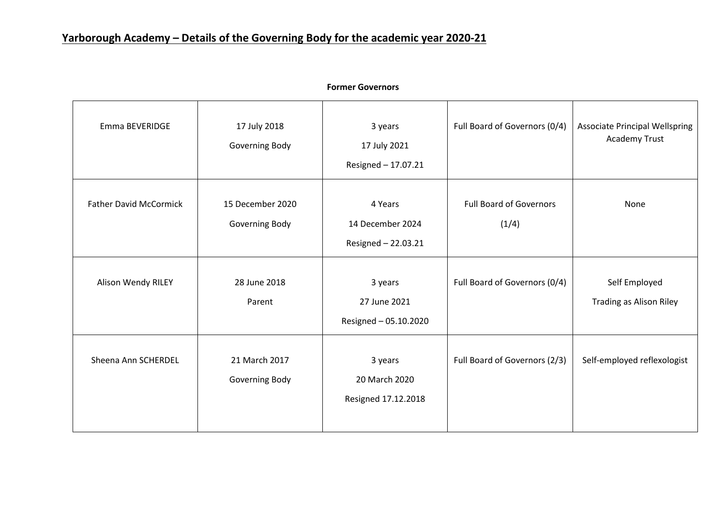| Emma BEVERIDGE                | 17 July 2018<br>Governing Body     | 3 years<br>17 July 2021<br>Resigned - 17.07.21     | Full Board of Governors (0/4)           | <b>Associate Principal Wellspring</b><br>Academy Trust |
|-------------------------------|------------------------------------|----------------------------------------------------|-----------------------------------------|--------------------------------------------------------|
| <b>Father David McCormick</b> | 15 December 2020<br>Governing Body | 4 Years<br>14 December 2024<br>Resigned - 22.03.21 | <b>Full Board of Governors</b><br>(1/4) | None                                                   |
| Alison Wendy RILEY            | 28 June 2018<br>Parent             | 3 years<br>27 June 2021<br>Resigned - 05.10.2020   | Full Board of Governors (0/4)           | Self Employed<br><b>Trading as Alison Riley</b>        |
| Sheena Ann SCHERDEL           | 21 March 2017<br>Governing Body    | 3 years<br>20 March 2020<br>Resigned 17.12.2018    | Full Board of Governors (2/3)           | Self-employed reflexologist                            |

## **Former Governors**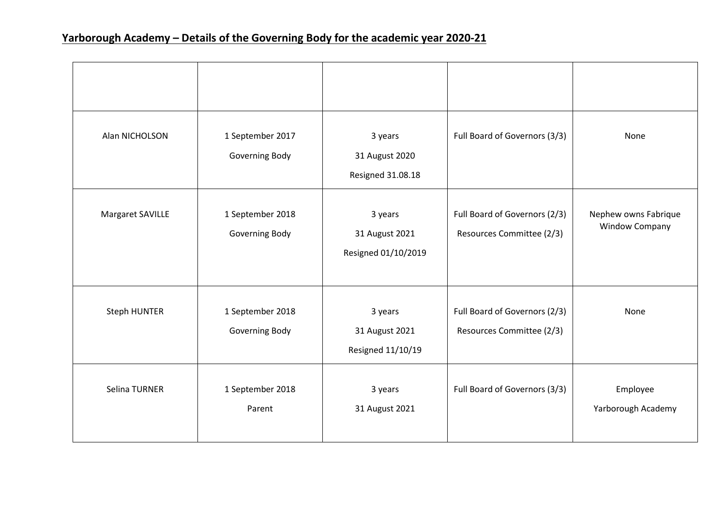| Alan NICHOLSON   | 1 September 2017<br>Governing Body | 3 years<br>31 August 2020<br>Resigned 31.08.18   | Full Board of Governors (3/3)                              | None                                          |
|------------------|------------------------------------|--------------------------------------------------|------------------------------------------------------------|-----------------------------------------------|
| Margaret SAVILLE | 1 September 2018<br>Governing Body | 3 years<br>31 August 2021<br>Resigned 01/10/2019 | Full Board of Governors (2/3)<br>Resources Committee (2/3) | Nephew owns Fabrique<br><b>Window Company</b> |
| Steph HUNTER     | 1 September 2018<br>Governing Body | 3 years<br>31 August 2021<br>Resigned 11/10/19   | Full Board of Governors (2/3)<br>Resources Committee (2/3) | None                                          |
| Selina TURNER    | 1 September 2018<br>Parent         | 3 years<br>31 August 2021                        | Full Board of Governors (3/3)                              | Employee<br>Yarborough Academy                |